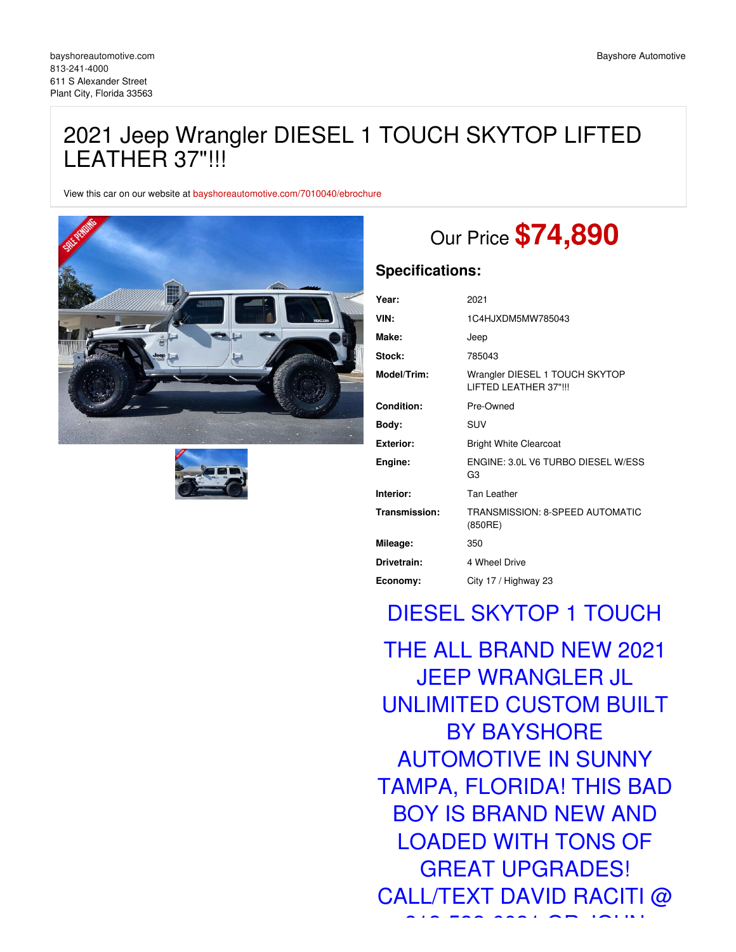## 2021 Jeep Wrangler DIESEL 1 TOUCH SKYTOP LIFTED LEATHER 37"!!!

View this car on our website at [bayshoreautomotive.com/7010040/ebrochure](https://bayshoreautomotive.com/vehicle/7010040/2021-jeep-wrangler-diesel-1-touch-skytop-lifted-leather-37-plant-city-florida-33563/7010040/ebrochure)





# Our Price **\$74,890**

### **Specifications:**

| Year:         | 2021                                                    |
|---------------|---------------------------------------------------------|
| VIN:          | 1C4HJXDM5MW785043                                       |
| Make:         | Jeep                                                    |
| Stock:        | 785043                                                  |
| Model/Trim:   | Wrangler DIESEL 1 TOUCH SKYTOP<br>LIFTED LEATHER 37"!!! |
| Condition:    | Pre-Owned                                               |
| Body:         | SUV                                                     |
| Exterior:     | <b>Bright White Clearcoat</b>                           |
| Engine:       | ENGINE: 3.0L V6 TURBO DIESEL W/ESS<br>G3                |
| Interior:     | <b>Tan Leather</b>                                      |
| Transmission: | TRANSMISSION: 8-SPEED AUTOMATIC<br>(850RE)              |
| Mileage:      | 350                                                     |
| Drivetrain:   | 4 Wheel Drive                                           |
| Economy:      | City 17 / Highway 23                                    |

## DIESEL SKYTOP 1 TOUCH

THE ALL BRAND NEW 2021 JEEP WRANGLER JL UNLIMITED CUSTOM BUILT BY BAYSHORE AUTOMOTIVE IN SUNNY TAMPA, FLORIDA! THIS BAD BOY IS BRAND NEW AND LOADED WITH TONS OF GREAT UPGRADES! CALL/TEXT DAVID RACITI @

818-533-632-603-6031 OR JOHN OR JOHN OR JOHN OR JOHN OR JOHN OR JOHN OR JOHN OR JOHN OR JOHN OR JOHN OR JOHN O<br>1990-1991 OR JOHN OR JOHN OR JOHN OR JOHN OR JOHN OR JOHN OR JOHN OR JOHN OR JOHN OR JOHN OR JOHN OR JOHN OR J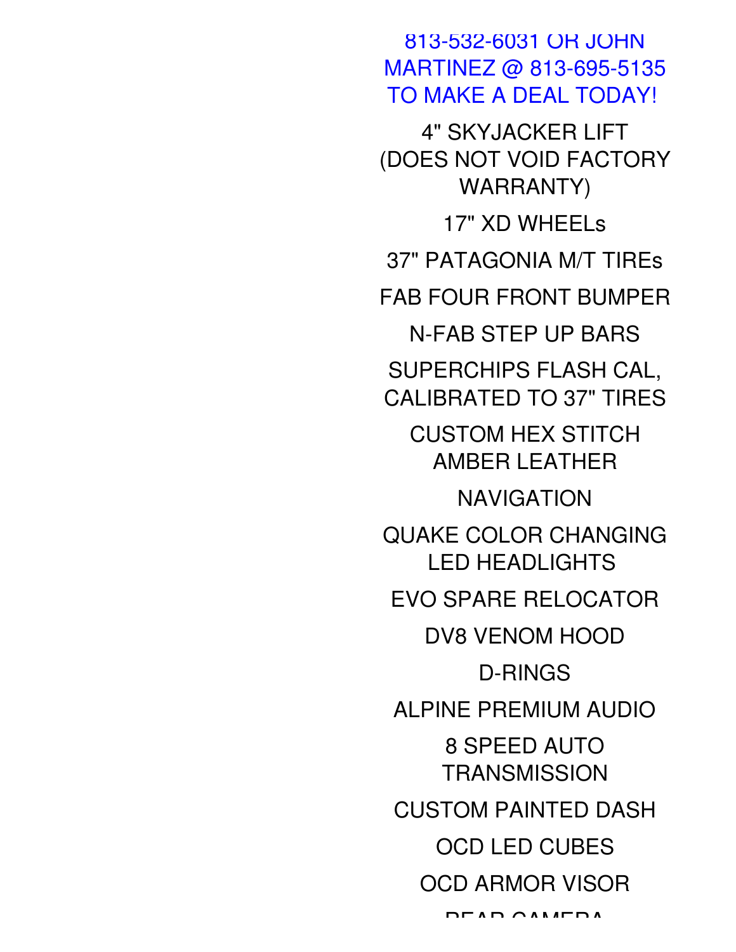813-532-6031 OR JOHN MARTINEZ @ 813-695-5135 TO MAKE A DEAL TODAY! 4" SKYJACKER LIFT

(DOES NOT VOID FACTORY WARRANTY)

37" PATAGONIA M/T TIREs

17" XD WHEELs

FAB FOUR FRONT BUMPER

N-FAB STEP UP BARS

SUPERCHIPS FLASH CAL, CALIBRATED TO 37" TIRES

CUSTOM HEX STITCH AMBER LEATHER

NAVIGATION

QUAKE COLOR CHANGING LED HEADLIGHTS

EVO SPARE RELOCATOR

DV8 VENOM HOOD

D-RINGS

ALPINE PREMIUM AUDIO

8 SPEED AUTO

**TRANSMISSION** 

CUSTOM PAINTED DASH

OCD LED CUBES

OCD ARMOR VISOR

REAR CAMERA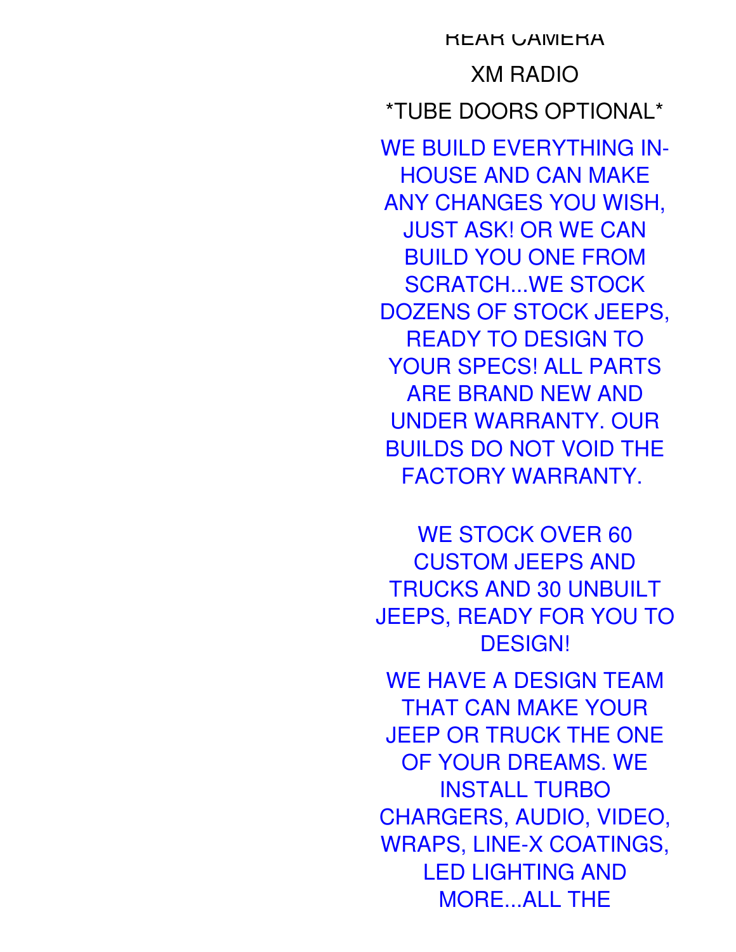**REAR CAMERA** XM RADIO \*TUBE DOORS OPTIONAL\* WE BUILD EVERYTHING IN-HOUSE AND CAN MAKE ANY CHANGES YOU WISH, JUST ASK! OR WE CAN BUILD YOU ONE FROM SCRATCH...WE STOCK DOZENS OF STOCK JEEPS, READY TO DESIGN TO YOUR SPECS! ALL PARTS ARE BRAND NEW AND UNDER WARRANTY. OUR BUILDS DO NOT VOID THE FACTORY WARRANTY.

WE STOCK OVER 60 CUSTOM JEEPS AND TRUCKS AND 30 UNBUILT JEEPS, READY FOR YOU TO DESIGN!

WE HAVE A DESIGN TEAM THAT CAN MAKE YOUR JEEP OR TRUCK THE ONE OF YOUR DREAMS. WE INSTALL TURBO CHARGERS, AUDIO, VIDEO, WRAPS, LINE-X COATINGS, LED LIGHTING AND MORE...ALL THE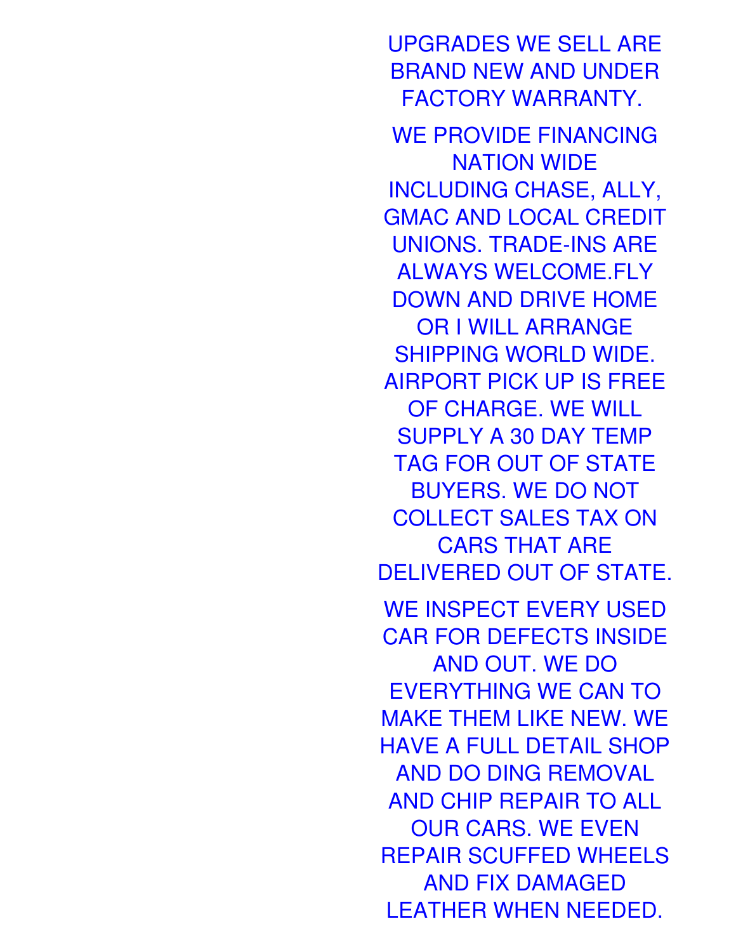UPGRADES WE SELL ARE BRAND NEW AND UNDER FACTORY WARRANTY. WE PROVIDE FINANCING NATION WIDE INCLUDING CHASE, ALLY, GMAC AND LOCAL CREDIT UNIONS. TRADE-INS ARE ALWAYS WELCOME.FLY DOWN AND DRIVE HOME OR I WILL ARRANGE SHIPPING WORLD WIDE. AIRPORT PICK UP IS FREE OF CHARGE. WE WILL SUPPLY A 30 DAY TEMP TAG FOR OUT OF STATE BUYERS. WE DO NOT COLLECT SALES TAX ON CARS THAT ARE DELIVERED OUT OF STATE. WE INSPECT EVERY USED CAR FOR DEFECTS INSIDE AND OUT. WE DO EVERYTHING WE CAN TO MAKE THEM LIKE NEW. WE HAVE A FULL DETAIL SHOP AND DO DING REMOVAL AND CHIP REPAIR TO ALL OUR CARS. WE EVEN REPAIR SCUFFED WHEELS AND FIX DAMAGED LEATHER WHEN NEEDED.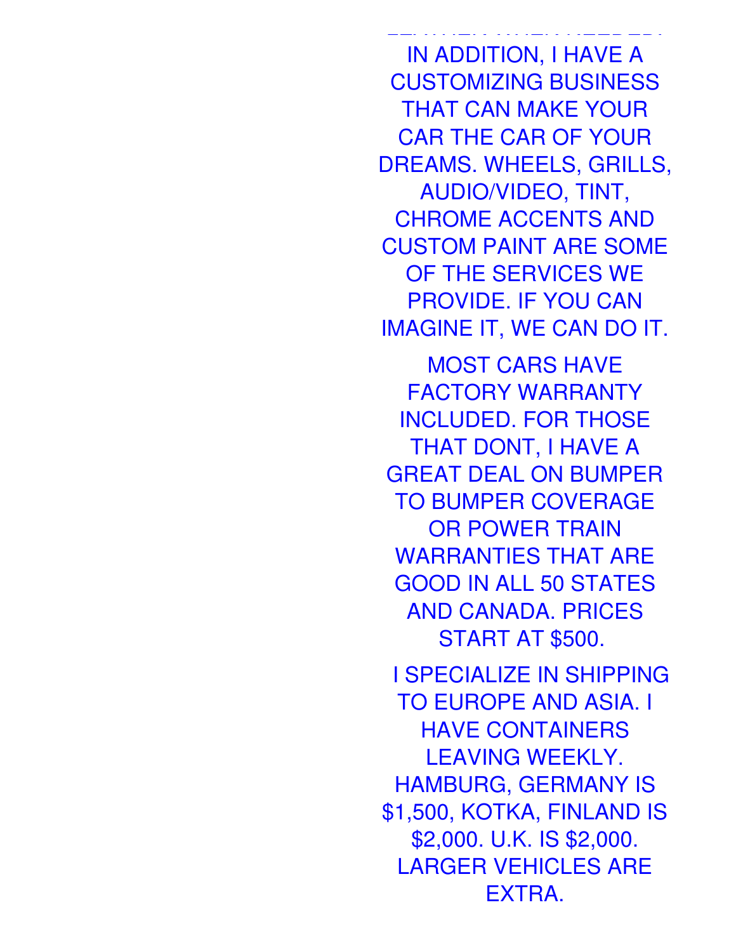IN ADDITION, I HAVE A CUSTOMIZING BUSINESS THAT CAN MAKE YOUR CAR THE CAR OF YOUR DREAMS. WHEELS, GRILLS, AUDIO/VIDEO, TINT, CHROME ACCENTS AND CUSTOM PAINT ARE SOME OF THE SERVICES WE PROVIDE. IF YOU CAN IMAGINE IT, WE CAN DO IT.

LEATHER WHEN NEEDED.

MOST CARS HAVE FACTORY WARRANTY INCLUDED. FOR THOSE THAT DONT, I HAVE A GREAT DEAL ON BUMPER TO BUMPER COVERAGE OR POWER TRAIN WARRANTIES THAT ARE GOOD IN ALL 50 STATES AND CANADA. PRICES START AT \$500.

I SPECIALIZE IN SHIPPING TO EUROPE AND ASIA. I HAVE CONTAINERS LEAVING WEEKLY. HAMBURG, GERMANY IS \$1,500, KOTKA, FINLAND IS \$2,000. U.K. IS \$2,000. LARGER VEHICLES ARE EXTRA.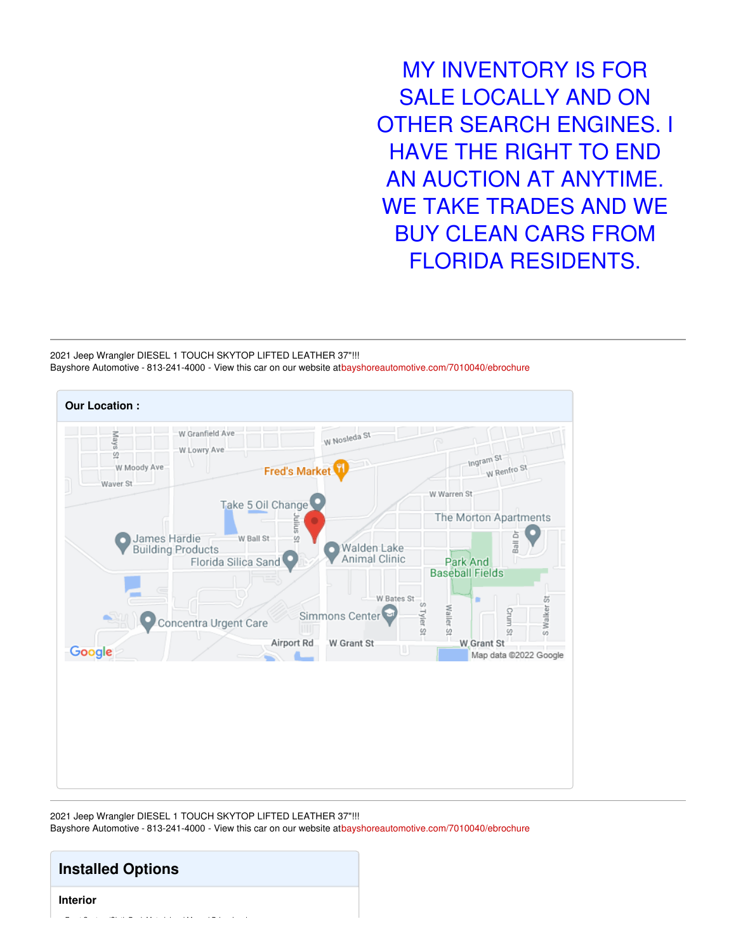MY INVENTORY IS FOR SALE LOCALLY AND ON OTHER SEARCH ENGINES. I HAVE THE RIGHT TO END AN AUCTION AT ANYTIME. WE TAKE TRADES AND WE BUY CLEAN CARS FROM FLORIDA RESIDENTS.

2021 Jeep Wrangler DIESEL 1 TOUCH SKYTOP LIFTED LEATHER 37"!!! Bayshore Automotive - 813-241-4000 - View this car on our website a[tbayshoreautomotive.com/7010040/ebrochure](https://bayshoreautomotive.com/vehicle/7010040/2021-jeep-wrangler-diesel-1-touch-skytop-lifted-leather-37-plant-city-florida-33563/7010040/ebrochure)



2021 Jeep Wrangler DIESEL 1 TOUCH SKYTOP LIFTED LEATHER 37"!!! Bayshore Automotive - 813-241-4000 - View this car on our website a[tbayshoreautomotive.com/7010040/ebrochure](https://bayshoreautomotive.com/vehicle/7010040/2021-jeep-wrangler-diesel-1-touch-skytop-lifted-leather-37-plant-city-florida-33563/7010040/ebrochure)

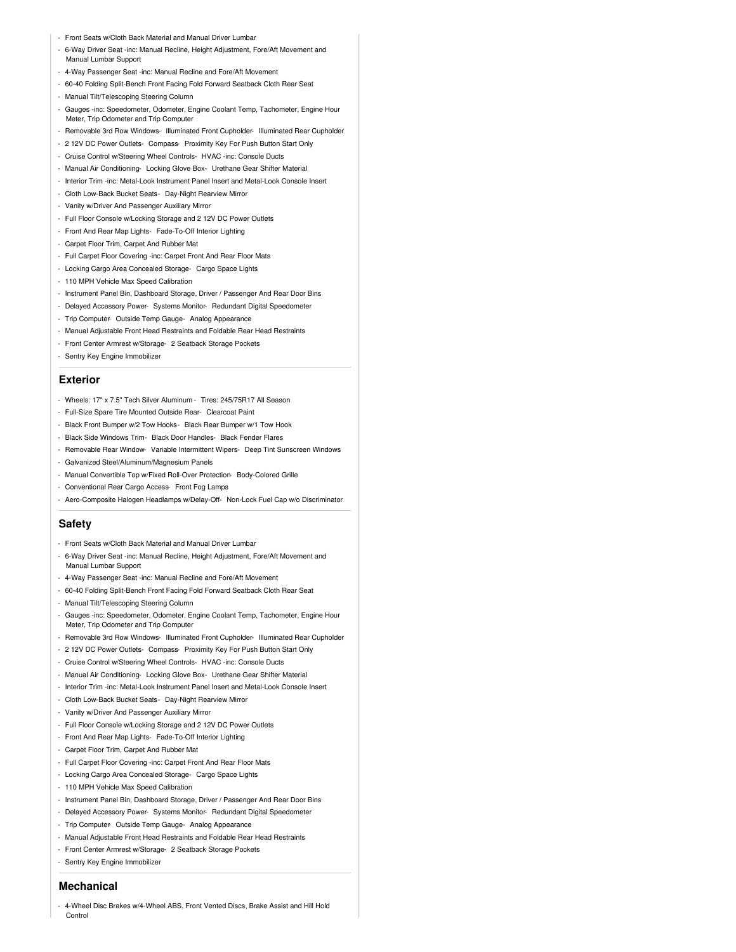- Front Seats w/Cloth Back Material and Manual Driver Lumbar
- 6-Way Driver Seat -inc: Manual Recline, Height Adjustment, Fore/Aft Movement and Manual Lumbar Support
- 4-Way Passenger Seat -inc: Manual Recline and Fore/Aft Movement
- 60-40 Folding Split-Bench Front Facing Fold Forward Seatback Cloth Rear Seat
- Manual Tilt/Telescoping Steering Column
- Gauges -inc: Speedometer, Odometer, Engine Coolant Temp, Tachometer, Engine Hour Meter, Trip Odometer and Trip Computer
- Removable 3rd Row Windows- Illuminated Front Cupholder- Illuminated Rear Cupholder
- 2 12V DC Power Outlets- Compass- Proximity Key For Push Button Start Only
- Cruise Control w/Steering Wheel Controls- HVAC -inc: Console Ducts
- Manual Air Conditioning- Locking Glove Box- Urethane Gear Shifter Material
- Interior Trim -inc: Metal-Look Instrument Panel Insert and Metal-Look Console Insert
- Cloth Low-Back Bucket Seats- Day-Night Rearview Mirror
- Vanity w/Driver And Passenger Auxiliary Mirror
- Full Floor Console w/Locking Storage and 2 12V DC Power Outlets
- Front And Rear Map Lights- Fade-To-Off Interior Lighting
- Carpet Floor Trim, Carpet And Rubber Mat
- Full Carpet Floor Covering -inc: Carpet Front And Rear Floor Mats
- Locking Cargo Area Concealed Storage- Cargo Space Lights
- 110 MPH Vehicle Max Speed Calibration
- Instrument Panel Bin, Dashboard Storage, Driver / Passenger And Rear Door Bins
- Delayed Accessory Power- Systems Monitor- Redundant Digital Speedometer
- Trip Computer- Outside Temp Gauge- Analog Appearance
- Manual Adjustable Front Head Restraints and Foldable Rear Head Restraints
- Front Center Armrest w/Storage- 2 Seatback Storage Pockets
- Sentry Key Engine Immobilizer

#### **Exterior**

- Wheels: 17" x 7.5" Tech Silver Aluminum Tires: 245/75R17 All Season
- Full-Size Spare Tire Mounted Outside Rear- Clearcoat Paint
- Black Front Bumper w/2 Tow Hooks- Black Rear Bumper w/1 Tow Hook
- Black Side Windows Trim- Black Door Handles- Black Fender Flares
- Removable Rear Window- Variable Intermittent Wipers- Deep Tint Sunscreen Windows
- Galvanized Steel/Aluminum/Magnesium Panels
- Manual Convertible Top w/Fixed Roll-Over Protection- Body-Colored Grille
- Conventional Rear Cargo Access- Front Fog Lamps
- Aero-Composite Halogen Headlamps w/Delay-Off- Non-Lock Fuel Cap w/o Discriminator

#### **Safety**

- Front Seats w/Cloth Back Material and Manual Driver Lumbar
- 6-Way Driver Seat -inc: Manual Recline, Height Adjustment, Fore/Aft Movement and Manual Lumbar Support
- 4-Way Passenger Seat -inc: Manual Recline and Fore/Aft Movement
- 60-40 Folding Split-Bench Front Facing Fold Forward Seatback Cloth Rear Seat
- Manual Tilt/Telescoping Steering Column
- Gauges -inc: Speedometer, Odometer, Engine Coolant Temp, Tachometer, Engine Hour Meter, Trip Odometer and Trip Computer
- Removable 3rd Row Windows- Illuminated Front Cupholder- Illuminated Rear Cupholder
- 2 12V DC Power Outlets- Compass- Proximity Key For Push Button Start Only
- Cruise Control w/Steering Wheel Controls- HVAC -inc: Console Ducts
- Manual Air Conditioning- Locking Glove Box- Urethane Gear Shifter Material
- Interior Trim -inc: Metal-Look Instrument Panel Insert and Metal-Look Console Insert
- Cloth Low-Back Bucket Seats- Day-Night Rearview Mirror
- Vanity w/Driver And Passenger Auxiliary Mirror
- Full Floor Console w/Locking Storage and 2 12V DC Power Outlets
- Front And Rear Map Lights- Fade-To-Off Interior Lighting
- Carpet Floor Trim, Carpet And Rubber Mat
- Full Carpet Floor Covering -inc: Carpet Front And Rear Floor Mats
- Locking Cargo Area Concealed Storage- Cargo Space Lights
- 110 MPH Vehicle Max Speed Calibration
- Instrument Panel Bin, Dashboard Storage, Driver / Passenger And Rear Door Bins
- Delayed Accessory Power- Systems Monitor- Redundant Digital Speedometer
- Trip Computer- Outside Temp Gauge- Analog Appearance
- Manual Adjustable Front Head Restraints and Foldable Rear Head Restraints
- Front Center Armrest w/Storage- 2 Seatback Storage Pockets
- Sentry Key Engine Immobilizer

#### **Mechanical**

- 4-Wheel Disc Brakes w/4-Wheel ABS, Front Vented Discs, Brake Assist and Hill Hold **Control**